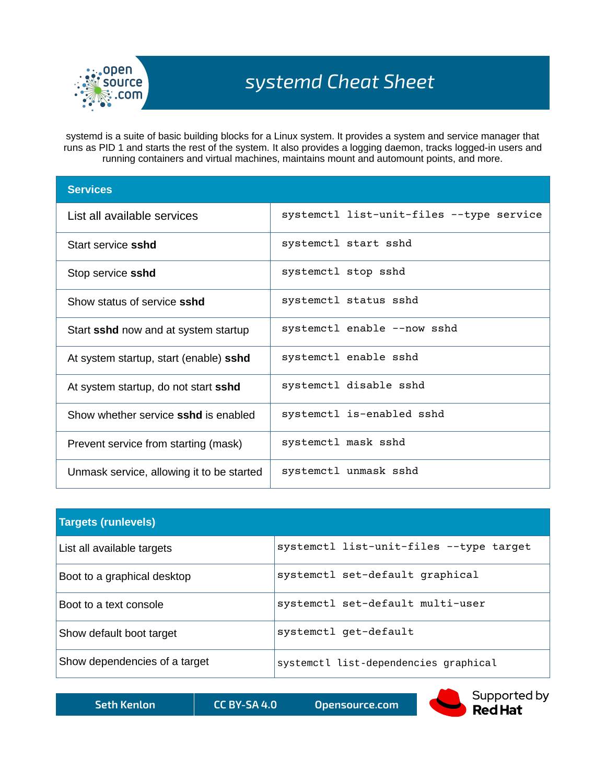

systemd is a suite of basic building blocks for a Linux system. It provides a system and service manager that runs as PID 1 and starts the rest of the system. It also provides a logging daemon, tracks logged-in users and running containers and virtual machines, maintains mount and automount points, and more.

| <b>Services</b>                           |                                          |
|-------------------------------------------|------------------------------------------|
| List all available services               | systemctl list-unit-files --type service |
| Start service sshd                        | systemctl start sshd                     |
| Stop service sshd                         | systemctl stop sshd                      |
| Show status of service sshd               | systemctl status sshd                    |
| Start sshd now and at system startup      | systemctl enable --now sshd              |
| At system startup, start (enable) sshd    | systemctl enable sshd                    |
| At system startup, do not start sshd      | systemctl disable sshd                   |
| Show whether service sshd is enabled      | systemctl is-enabled sshd                |
| Prevent service from starting (mask)      | systemctl mask sshd                      |
| Unmask service, allowing it to be started | systemctl unmask sshd                    |

| <b>Targets (runlevels)</b>    |                                         |
|-------------------------------|-----------------------------------------|
| List all available targets    | systemctl list-unit-files --type target |
| Boot to a graphical desktop   | systemctl set-default graphical         |
| Boot to a text console        | systemctl set-default multi-user        |
| Show default boot target      | systemctl get-default                   |
| Show dependencies of a target | systemctl list-dependencies graphical   |

**Seth Kenlon CC BY-SA 4.0 Opensource.com**